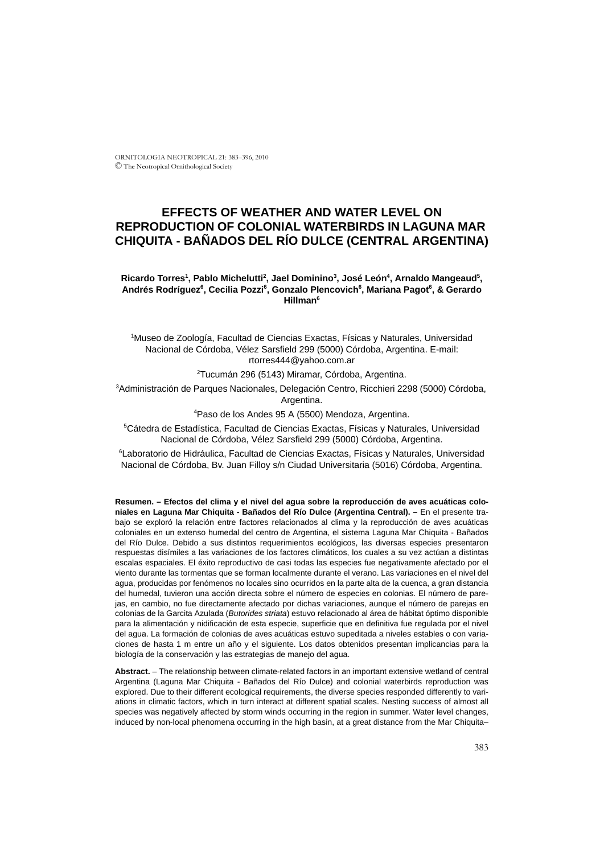ORNITOLOGIA NEOTROPICAL 21: 383–396, 2010 © The Neotropical Ornithological Society

# **EFFECTS OF WEATHER AND WATER LEVEL ON REPRODUCTION OF COLONIAL WATERBIRDS IN LAGUNA MAR CHIQUITA - BAÑADOS DEL RÍO DULCE (CENTRAL ARGENTINA)**

# $R$ icardo Torres<sup>1</sup>, Pablo Michelutti<sup>2</sup>, Jael Dominino<sup>3</sup>, José León<sup>4</sup>, Arnaldo Mangeaud<sup>5</sup>, Andrés Rodríguez<sup>6</sup>, Cecilia Pozzi<sup>6</sup>, Gonzalo Plencovich<sup>6</sup>, Mariana Pagot<sup>6</sup>, & Gerardo **Hillman6**

1 Museo de Zoología, Facultad de Ciencias Exactas, Físicas y Naturales, Universidad Nacional de Córdoba, Vélez Sarsfield 299 (5000) Córdoba, Argentina. E-mail: rtorres444@yahoo.com.ar

2 Tucumán 296 (5143) Miramar, Córdoba, Argentina.

3 Administración de Parques Nacionales, Delegación Centro, Ricchieri 2298 (5000) Córdoba, Argentina.

4 Paso de los Andes 95 A (5500) Mendoza, Argentina.

5 Cátedra de Estadística, Facultad de Ciencias Exactas, Físicas y Naturales, Universidad Nacional de Córdoba, Vélez Sarsfield 299 (5000) Córdoba, Argentina.

6 Laboratorio de Hidráulica, Facultad de Ciencias Exactas, Físicas y Naturales, Universidad Nacional de Córdoba, Bv. Juan Filloy s/n Ciudad Universitaria (5016) Córdoba, Argentina.

**Resumen. – Efectos del clima y el nivel del agua sobre la reproducción de aves acuáticas coloniales en Laguna Mar Chiquita - Bañados del Río Dulce (Argentina Central). –** En el presente trabajo se exploró la relación entre factores relacionados al clima y la reproducción de aves acuáticas coloniales en un extenso humedal del centro de Argentina, el sistema Laguna Mar Chiquita - Bañados del Río Dulce. Debido a sus distintos requerimientos ecológicos, las diversas especies presentaron respuestas disímiles a las variaciones de los factores climáticos, los cuales a su vez actúan a distintas escalas espaciales. El éxito reproductivo de casi todas las especies fue negativamente afectado por el viento durante las tormentas que se forman localmente durante el verano. Las variaciones en el nivel del agua, producidas por fenómenos no locales sino ocurridos en la parte alta de la cuenca, a gran distancia del humedal, tuvieron una acción directa sobre el número de especies en colonias. El número de parejas, en cambio, no fue directamente afectado por dichas variaciones, aunque el número de parejas en colonias de la Garcita Azulada (*Butorides striata*) estuvo relacionado al área de hábitat óptimo disponible para la alimentación y nidificación de esta especie, superficie que en definitiva fue regulada por el nivel del agua. La formación de colonias de aves acuáticas estuvo supeditada a niveles estables o con variaciones de hasta 1 m entre un año y el siguiente. Los datos obtenidos presentan implicancias para la biología de la conservación y las estrategias de manejo del agua.

**Abstract.** – The relationship between climate-related factors in an important extensive wetland of central Argentina (Laguna Mar Chiquita - Bañados del Río Dulce) and colonial waterbirds reproduction was explored. Due to their different ecological requirements, the diverse species responded differently to variations in climatic factors, which in turn interact at different spatial scales. Nesting success of almost all species was negatively affected by storm winds occurring in the region in summer. Water level changes, induced by non-local phenomena occurring in the high basin, at a great distance from the Mar Chiquita–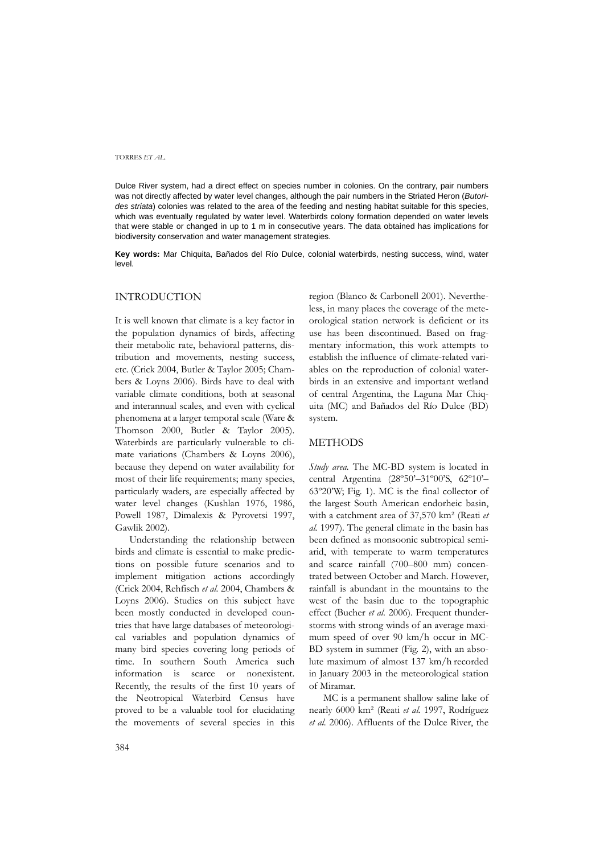Dulce River system, had a direct effect on species number in colonies. On the contrary, pair numbers was not directly affected by water level changes, although the pair numbers in the Striated Heron (*Butorides striata*) colonies was related to the area of the feeding and nesting habitat suitable for this species, which was eventually regulated by water level. Waterbirds colony formation depended on water levels that were stable or changed in up to 1 m in consecutive years. The data obtained has implications for biodiversity conservation and water management strategies.

**Key words:** Mar Chiquita, Bañados del Río Dulce, colonial waterbirds, nesting success, wind, water level.

# INTRODUCTION

It is well known that climate is a key factor in the population dynamics of birds, affecting their metabolic rate, behavioral patterns, distribution and movements, nesting success, etc. (Crick 2004, Butler & Taylor 2005; Chambers & Loyns 2006). Birds have to deal with variable climate conditions, both at seasonal and interannual scales, and even with cyclical phenomena at a larger temporal scale (Ware & Thomson 2000, Butler & Taylor 2005). Waterbirds are particularly vulnerable to climate variations (Chambers & Loyns 2006), because they depend on water availability for most of their life requirements; many species, particularly waders, are especially affected by water level changes (Kushlan 1976, 1986, Powell 1987, Dimalexis & Pyrovetsi 1997, Gawlik 2002).

Understanding the relationship between birds and climate is essential to make predictions on possible future scenarios and to implement mitigation actions accordingly (Crick 2004, Rehfisch *et al.* 2004, Chambers & Loyns 2006). Studies on this subject have been mostly conducted in developed countries that have large databases of meteorological variables and population dynamics of many bird species covering long periods of time. In southern South America such information is scarce or nonexistent. Recently, the results of the first 10 years of the Neotropical Waterbird Census have proved to be a valuable tool for elucidating the movements of several species in this region (Blanco & Carbonell 2001). Nevertheless, in many places the coverage of the meteorological station network is deficient or its use has been discontinued. Based on fragmentary information, this work attempts to establish the influence of climate-related variables on the reproduction of colonial waterbirds in an extensive and important wetland of central Argentina, the Laguna Mar Chiquita (MC) and Bañados del Río Dulce (BD) system.

### METHODS

*Study area.* The MC-BD system is located in central Argentina (28º50'–31º00'S, 62º10'– 63º20'W; Fig. 1). MC is the final collector of the largest South American endorheic basin, with a catchment area of 37,570 km² (Reati *et al.* 1997). The general climate in the basin has been defined as monsoonic subtropical semiarid, with temperate to warm temperatures and scarce rainfall (700–800 mm) concentrated between October and March. However, rainfall is abundant in the mountains to the west of the basin due to the topographic effect (Bucher *et al.* 2006). Frequent thunderstorms with strong winds of an average maximum speed of over 90 km/h occur in MC-BD system in summer (Fig. 2), with an absolute maximum of almost 137 km/h recorded in January 2003 in the meteorological station of Miramar.

MC is a permanent shallow saline lake of nearly 6000 km² (Reati *et al.* 1997, Rodríguez *et al.* 2006). Affluents of the Dulce River, the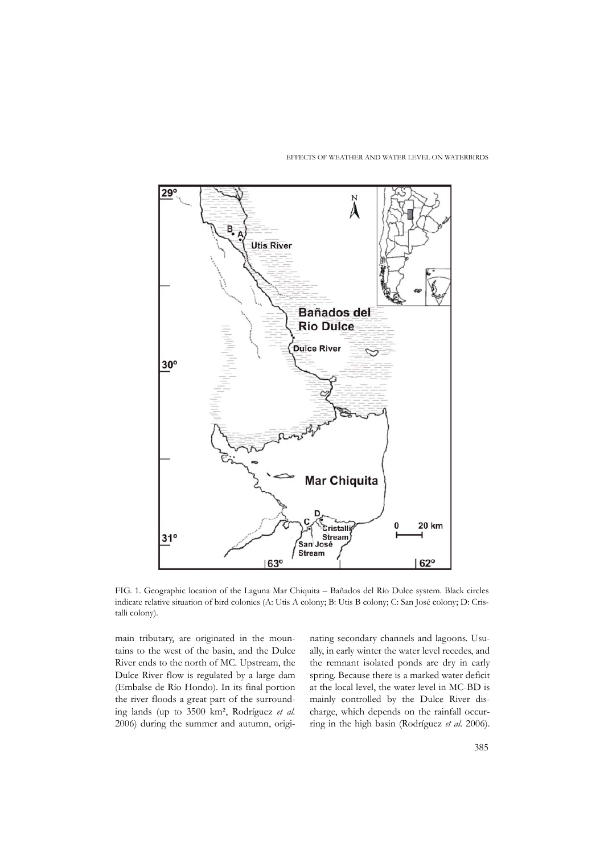EFFECTS OF WEATHER AND WATER LEVEL ON WATERBIRDS



FIG. 1. Geographic location of the Laguna Mar Chiquita – Bañados del Río Dulce system. Black circles indicate relative situation of bird colonies (A: Utis A colony; B: Utis B colony; C: San José colony; D: Cristalli colony).

main tributary, are originated in the mountains to the west of the basin, and the Dulce River ends to the north of MC. Upstream, the Dulce River flow is regulated by a large dam (Embalse de Río Hondo). In its final portion the river floods a great part of the surrounding lands (up to 3500 km², Rodríguez *et al.* 2006) during the summer and autumn, originating secondary channels and lagoons. Usually, in early winter the water level recedes, and the remnant isolated ponds are dry in early spring. Because there is a marked water deficit at the local level, the water level in MC-BD is mainly controlled by the Dulce River discharge, which depends on the rainfall occurring in the high basin (Rodríguez *et al.* 2006).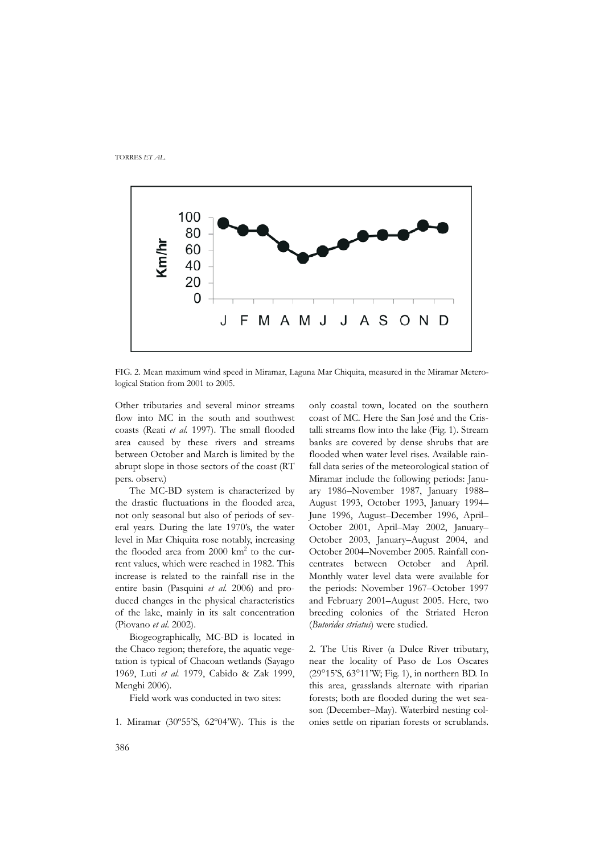

FIG. 2. Mean maximum wind speed in Miramar, Laguna Mar Chiquita, measured in the Miramar Meterological Station from 2001 to 2005.

Other tributaries and several minor streams flow into MC in the south and southwest coasts (Reati *et al.* 1997). The small flooded area caused by these rivers and streams between October and March is limited by the abrupt slope in those sectors of the coast (RT pers. observ.)

The MC-BD system is characterized by the drastic fluctuations in the flooded area, not only seasonal but also of periods of several years. During the late 1970's, the water level in Mar Chiquita rose notably, increasing the flooded area from 2000 km<sup>2</sup> to the current values, which were reached in 1982. This increase is related to the rainfall rise in the entire basin (Pasquini *et al.* 2006) and produced changes in the physical characteristics of the lake, mainly in its salt concentration (Piovano *et al*. 2002).

Biogeographically, MC-BD is located in the Chaco region; therefore, the aquatic vegetation is typical of Chacoan wetlands (Sayago 1969, Luti *et al.* 1979, Cabido & Zak 1999, Menghi 2006).

Field work was conducted in two sites:

1. Miramar (30º55'S, 62º04'W). This is the

only coastal town, located on the southern coast of MC. Here the San José and the Cristalli streams flow into the lake (Fig. 1). Stream banks are covered by dense shrubs that are flooded when water level rises. Available rainfall data series of the meteorological station of Miramar include the following periods: January 1986–November 1987, January 1988– August 1993, October 1993, January 1994– June 1996, August–December 1996, April– October 2001, April–May 2002, January– October 2003, January–August 2004, and October 2004–November 2005. Rainfall concentrates between October and April. Monthly water level data were available for the periods: November 1967–October 1997 and February 2001–August 2005. Here, two breeding colonies of the Striated Heron (*Butorides striatus*) were studied.

2. The Utis River (a Dulce River tributary, near the locality of Paso de Los Oscares (29°15'S, 63°11'W; Fig. 1), in northern BD. In this area, grasslands alternate with riparian forests; both are flooded during the wet season (December–May). Waterbird nesting colonies settle on riparian forests or scrublands.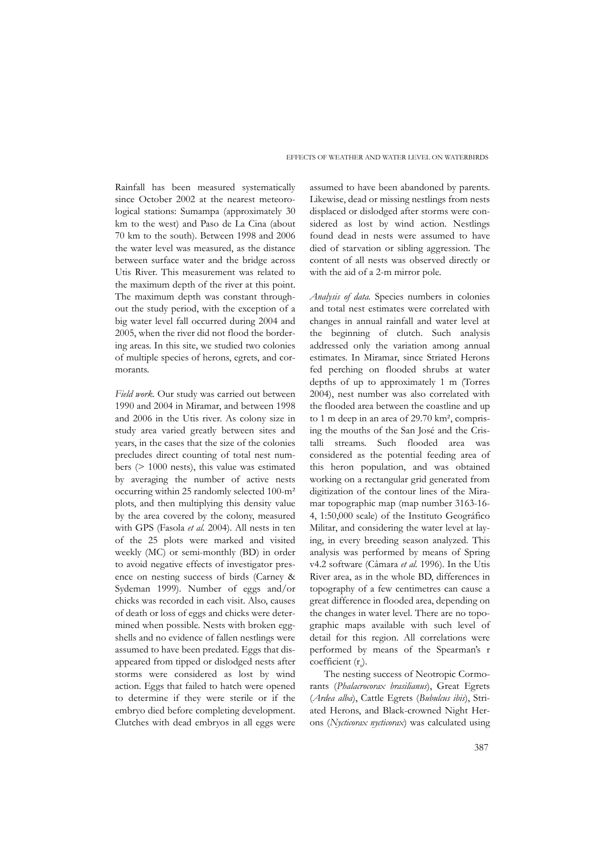Rainfall has been measured systematically since October 2002 at the nearest meteorological stations: Sumampa (approximately 30 km to the west) and Paso de La Cina (about 70 km to the south). Between 1998 and 2006 the water level was measured, as the distance between surface water and the bridge across Utis River. This measurement was related to the maximum depth of the river at this point. The maximum depth was constant throughout the study period, with the exception of a big water level fall occurred during 2004 and 2005, when the river did not flood the bordering areas. In this site, we studied two colonies of multiple species of herons, egrets, and cormorants.

*Field work.* Our study was carried out between 1990 and 2004 in Miramar, and between 1998 and 2006 in the Utis river. As colony size in study area varied greatly between sites and years, in the cases that the size of the colonies precludes direct counting of total nest numbers (> 1000 nests), this value was estimated by averaging the number of active nests occurring within 25 randomly selected 100-m² plots, and then multiplying this density value by the area covered by the colony, measured with GPS (Fasola *et al.* 2004). All nests in ten of the 25 plots were marked and visited weekly (MC) or semi-monthly (BD) in order to avoid negative effects of investigator presence on nesting success of birds (Carney & Sydeman 1999). Number of eggs and/or chicks was recorded in each visit. Also, causes of death or loss of eggs and chicks were determined when possible. Nests with broken eggshells and no evidence of fallen nestlings were assumed to have been predated. Eggs that disappeared from tipped or dislodged nests after storms were considered as lost by wind action. Eggs that failed to hatch were opened to determine if they were sterile or if the embryo died before completing development. Clutches with dead embryos in all eggs were

assumed to have been abandoned by parents. Likewise, dead or missing nestlings from nests displaced or dislodged after storms were considered as lost by wind action. Nestlings found dead in nests were assumed to have died of starvation or sibling aggression. The content of all nests was observed directly or with the aid of a 2-m mirror pole.

*Analysis of data.* Species numbers in colonies and total nest estimates were correlated with changes in annual rainfall and water level at the beginning of clutch. Such analysis addressed only the variation among annual estimates. In Miramar, since Striated Herons fed perching on flooded shrubs at water depths of up to approximately 1 m (Torres 2004), nest number was also correlated with the flooded area between the coastline and up to 1 m deep in an area of 29.70 km², comprising the mouths of the San José and the Cristalli streams. Such flooded area was considered as the potential feeding area of this heron population, and was obtained working on a rectangular grid generated from digitization of the contour lines of the Miramar topographic map (map number 3163-16- 4, 1:50,000 scale) of the Instituto Geográfico Militar, and considering the water level at laying, in every breeding season analyzed. This analysis was performed by means of Spring v4.2 software (Câmara *et al.* 1996). In the Utis River area, as in the whole BD, differences in topography of a few centimetres can cause a great difference in flooded area, depending on the changes in water level. There are no topographic maps available with such level of detail for this region. All correlations were performed by means of the Spearman's r coefficient (r<sub>s</sub>).

The nesting success of Neotropic Cormorants (*Phalacrocorax brasilianus*), Great Egrets (*Ardea alba*), Cattle Egrets (*Bubulcus ibis*), Striated Herons, and Black-crowned Night Herons (*Nycticorax nycticorax*) was calculated using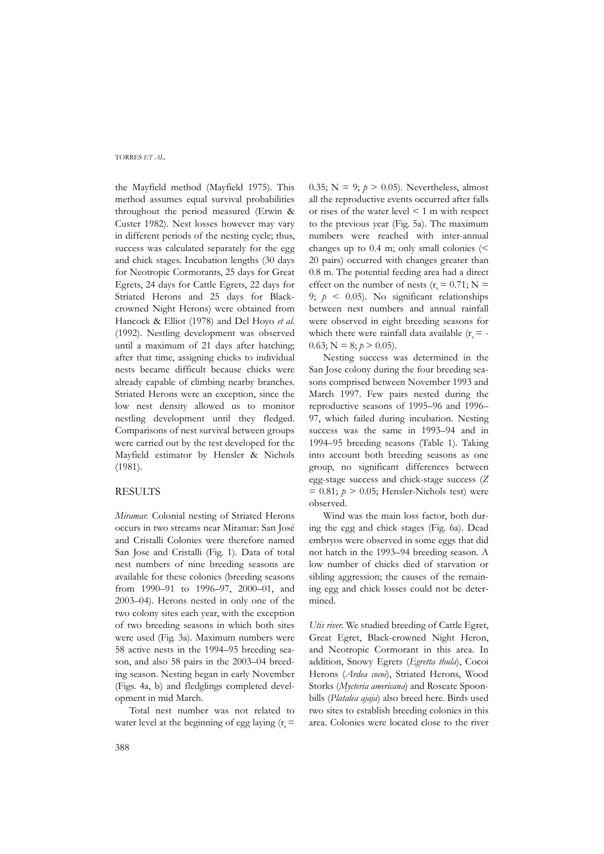the Mayfield method (Mayfield 1975). This method assumes equal survival probabilities throughout the period measured (Erwin & Custer 1982). Nest losses however may vary in different periods of the nesting cycle; thus, success was calculated separately for the egg and chick stages. Incubation lengths (30 days for Neotropic Cormorants, 25 days for Great Egrets, 24 days for Cattle Egrets, 22 days for Striated Herons and 25 days for Blackcrowned Night Herons) were obtained from Hancock & Elliot (1978) and Del Hoyo *et al.* (1992). Nestling development was observed until a maximum of 21 days after hatching; after that time, assigning chicks to individual nests became difficult because chicks were already capable of climbing nearby branches. Striated Herons were an exception, since the low nest density allowed us to monitor nestling development until they fledged. Comparisons of nest survival between groups were carried out by the test developed for the Mayfield estimator by Hensler & Nichols (1981).

## **RESULTS**

*Miramar.* Colonial nesting of Striated Herons occurs in two streams near Miramar: San José and Cristalli Colonies were therefore named San Jose and Cristalli (Fig. 1). Data of total nest numbers of nine breeding seasons are available for these colonies (breeding seasons from 1990–91 to 1996–97, 2000–01, and 2003–04). Herons nested in only one of the two colony sites each year, with the exception of two breeding seasons in which both sites were used (Fig. 3a). Maximum numbers were 58 active nests in the 1994–95 breeding season, and also 58 pairs in the 2003–04 breeding season. Nesting began in early November (Figs. 4a, b) and fledglings completed development in mid March.

Total nest number was not related to water level at the beginning of egg laying  $(r_s =$ 

0.35;  $N = 9$ ;  $p > 0.05$ ). Nevertheless, almost all the reproductive events occurred after falls or rises of the water level < 1 m with respect to the previous year (Fig. 5a). The maximum numbers were reached with inter-annual changes up to 0.4 m; only small colonies (< 20 pairs) occurred with changes greater than 0.8 m. The potential feeding area had a direct effect on the number of nests ( $r = 0.71$ ; N = 9;  $p \leq 0.05$ ). No significant relationships between nest numbers and annual rainfall were observed in eight breeding seasons for which there were rainfall data available  $(r_s = -1)$ 0.63;  $N = 8$ ;  $p > 0.05$ ).

Nesting success was determined in the San Jose colony during the four breeding seasons comprised between November 1993 and March 1997. Few pairs nested during the reproductive seasons of 1995–96 and 1996– 97, which failed during incubation. Nesting success was the same in 1993–94 and in 1994–95 breeding seasons (Table 1). Taking into account both breeding seasons as one group, no significant differences between egg-stage success and chick-stage success (*Z*  $= 0.81$ ;  $p > 0.05$ ; Hensler-Nichols test) were observed.

Wind was the main loss factor, both during the egg and chick stages (Fig. 6a). Dead embryos were observed in some eggs that did not hatch in the 1993–94 breeding season. A low number of chicks died of starvation or sibling aggression; the causes of the remaining egg and chick losses could not be determined.

*Utis river.* We studied breeding of Cattle Egret, Great Egret, Black-crowned Night Heron, and Neotropic Cormorant in this area. In addition, Snowy Egrets (*Egretta thula*), Cocoi Herons (*Ardea cocoi*), Striated Herons, Wood Storks (*Mycteria americana*) and Roseate Spoonbills (*Platalea ajaja*) also breed here. Birds used two sites to establish breeding colonies in this area. Colonies were located close to the river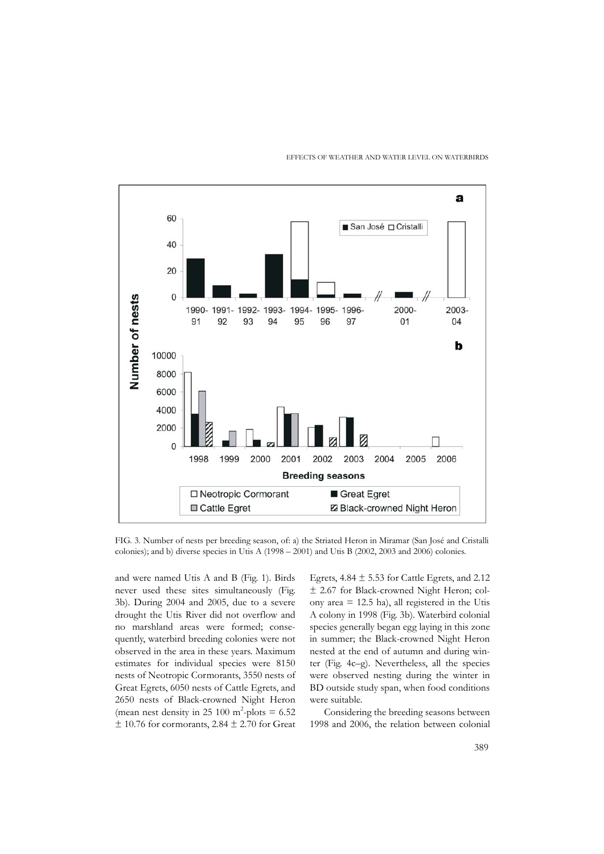

#### EFFECTS OF WEATHER AND WATER LEVEL ON WATERBIRDS

FIG. 3. Number of nests per breeding season, of: a) the Striated Heron in Miramar (San José and Cristalli colonies); and b) diverse species in Utis A (1998 – 2001) and Utis B (2002, 2003 and 2006) colonies.

and were named Utis A and B (Fig. 1). Birds never used these sites simultaneously (Fig. 3b). During 2004 and 2005, due to a severe drought the Utis River did not overflow and no marshland areas were formed; consequently, waterbird breeding colonies were not observed in the area in these years. Maximum estimates for individual species were 8150 nests of Neotropic Cormorants, 3550 nests of Great Egrets, 6050 nests of Cattle Egrets, and 2650 nests of Black-crowned Night Heron (mean nest density in 25 100 m<sup>2</sup>-plots =  $6.52$  $±$  10.76 for cormorants, 2.84  $±$  2.70 for Great

Egrets,  $4.84 \pm 5.53$  for Cattle Egrets, and 2.12 ± 2.67 for Black-crowned Night Heron; colony area = 12.5 ha), all registered in the Utis A colony in 1998 (Fig. 3b). Waterbird colonial species generally began egg laying in this zone in summer; the Black-crowned Night Heron nested at the end of autumn and during winter (Fig. 4c–g). Nevertheless, all the species were observed nesting during the winter in BD outside study span, when food conditions were suitable.

Considering the breeding seasons between 1998 and 2006, the relation between colonial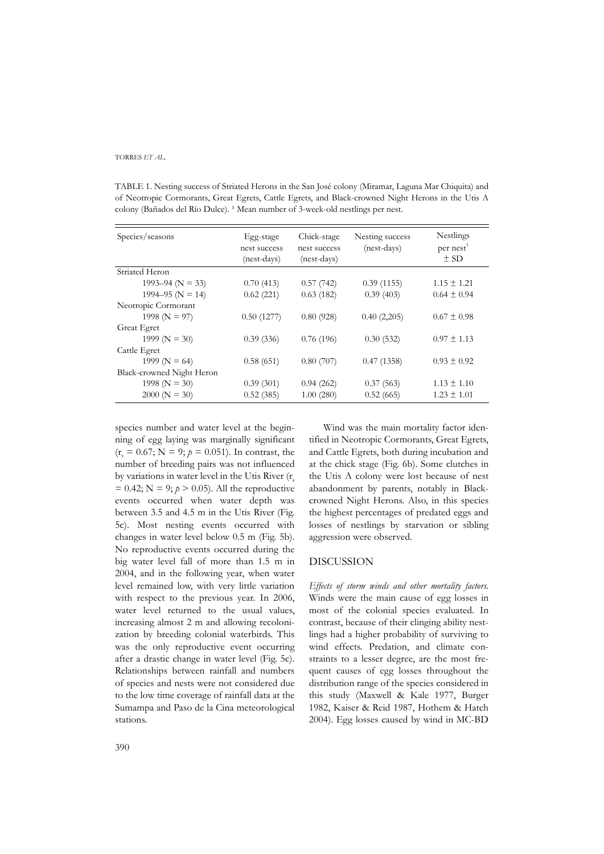TABLE 1. Nesting success of Striated Herons in the San José colony (Miramar, Laguna Mar Chiquita) and of Neotropic Cormorants, Great Egrets, Cattle Egrets, and Black-crowned Night Herons in the Utis A colony (Bañados del Río Dulce). <sup>1</sup> Mean number of 3-week-old nestlings per nest.

| Species/seasons           | Egg-stage<br>nest success<br>(nest-days) | Chick-stage<br>nest success<br>(nest-days) | Nesting success<br>(nest-days) | Nestlings<br>per nest <sup>1</sup><br>$\pm$ SD |
|---------------------------|------------------------------------------|--------------------------------------------|--------------------------------|------------------------------------------------|
| Striated Heron            |                                          |                                            |                                |                                                |
| 1993–94 ( $N = 33$ )      | 0.70(413)                                | 0.57(742)                                  | 0.39(1155)                     | $1.15 \pm 1.21$                                |
| 1994–95 ( $N = 14$ )      | 0.62(221)                                | 0.63(182)                                  | 0.39(403)                      | $0.64 \pm 0.94$                                |
| Neotropic Cormorant       |                                          |                                            |                                |                                                |
| 1998 ( $N = 97$ )         | 0.50(1277)                               | 0.80(928)                                  | 0.40(2,205)                    | $0.67 \pm 0.98$                                |
| Great Egret               |                                          |                                            |                                |                                                |
| 1999 ( $N = 30$ )         | 0.39(336)                                | 0.76(196)                                  | 0.30(532)                      | $0.97 \pm 1.13$                                |
| Cattle Egret              |                                          |                                            |                                |                                                |
| 1999 ( $N = 64$ )         | 0.58(651)                                | 0.80(707)                                  | 0.47(1358)                     | $0.93 \pm 0.92$                                |
| Black-crowned Night Heron |                                          |                                            |                                |                                                |
| 1998 ( $N = 30$ )         | 0.39(301)                                | 0.94(262)                                  | 0.37(563)                      | $1.13 \pm 1.10$                                |
| $2000 (N = 30)$           | 0.52(385)                                | 1.00(280)                                  | 0.52(665)                      | $1.23 \pm 1.01$                                |

species number and water level at the beginning of egg laying was marginally significant  $(r<sub>s</sub> = 0.67; N = 9; p = 0.051)$ . In contrast, the number of breeding pairs was not influenced by variations in water level in the Utis River  $(r_s)$  $= 0.42$ ; N = 9;  $p > 0.05$ ). All the reproductive events occurred when water depth was between 3.5 and 4.5 m in the Utis River (Fig. 5c). Most nesting events occurred with changes in water level below 0.5 m (Fig. 5b). No reproductive events occurred during the big water level fall of more than 1.5 m in 2004, and in the following year, when water level remained low, with very little variation with respect to the previous year. In 2006, water level returned to the usual values, increasing almost 2 m and allowing recolonization by breeding colonial waterbirds. This was the only reproductive event occurring after a drastic change in water level (Fig. 5c). Relationships between rainfall and numbers of species and nests were not considered due to the low time coverage of rainfall data at the Sumampa and Paso de la Cina meteorological stations.

Wind was the main mortality factor identified in Neotropic Cormorants, Great Egrets, and Cattle Egrets, both during incubation and at the chick stage (Fig. 6b). Some clutches in the Utis A colony were lost because of nest abandonment by parents, notably in Blackcrowned Night Herons. Also, in this species the highest percentages of predated eggs and losses of nestlings by starvation or sibling aggression were observed.

# DISCUSSION

*Effects of storm winds and other mortality factors.* Winds were the main cause of egg losses in most of the colonial species evaluated. In contrast, because of their clinging ability nestlings had a higher probability of surviving to wind effects. Predation, and climate constraints to a lesser degree, are the most frequent causes of egg losses throughout the distribution range of the species considered in this study (Maxwell & Kale 1977, Burger 1982, Kaiser & Reid 1987, Hothem & Hatch 2004). Egg losses caused by wind in MC-BD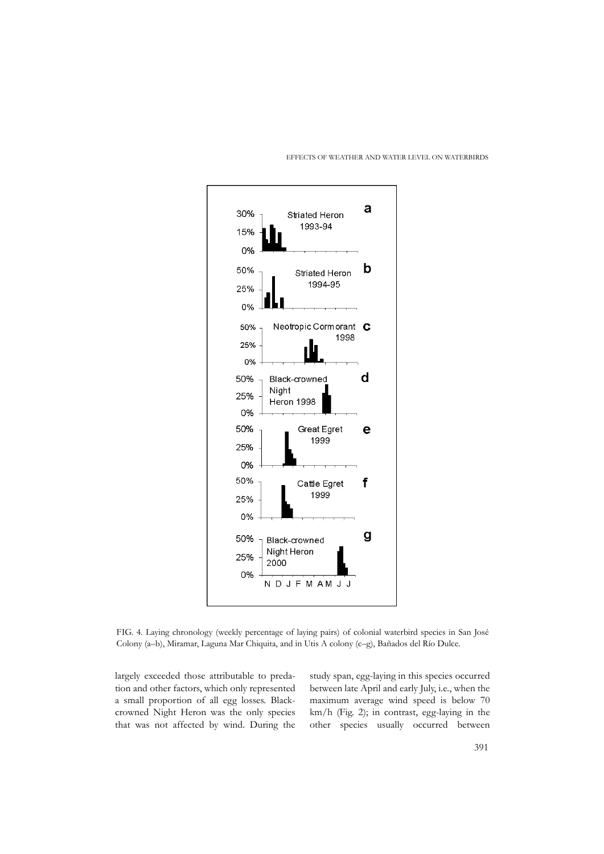

#### EFFECTS OF WEATHER AND WATER LEVEL ON WATERBIRDS

FIG. 4. Laying chronology (weekly percentage of laying pairs) of colonial waterbird species in San José Colony (a–b), Miramar, Laguna Mar Chiquita, and in Utis A colony (c–g), Bañados del Río Dulce.

largely exceeded those attributable to predation and other factors, which only represented a small proportion of all egg losses. Blackcrowned Night Heron was the only species that was not affected by wind. During the

study span, egg-laying in this species occurred between late April and early July, i.e., when the maximum average wind speed is below 70 km/h (Fig. 2); in contrast, egg-laying in the other species usually occurred between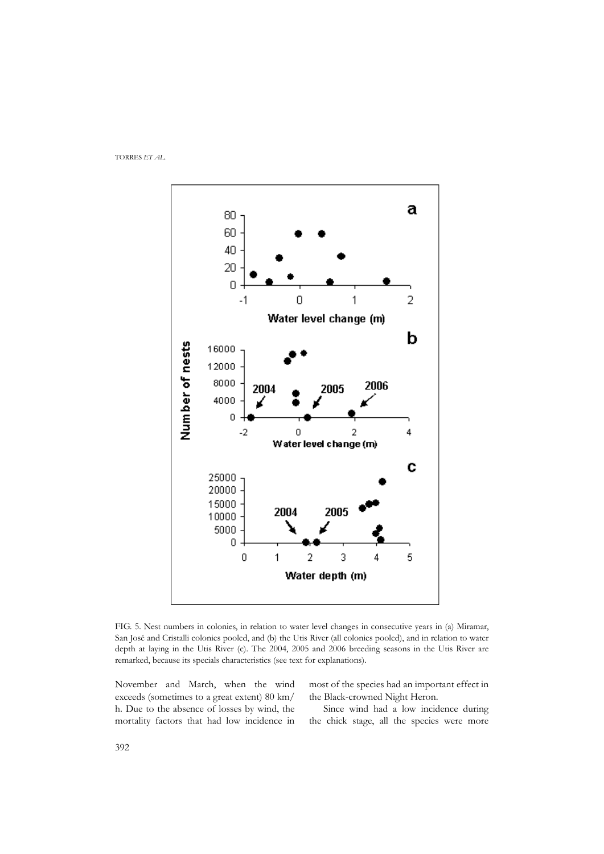

FIG. 5. Nest numbers in colonies, in relation to water level changes in consecutive years in (a) Miramar, San José and Cristalli colonies pooled, and (b) the Utis River (all colonies pooled), and in relation to water depth at laying in the Utis River (c). The 2004, 2005 and 2006 breeding seasons in the Utis River are remarked, because its specials characteristics (see text for explanations).

November and March, when the wind exceeds (sometimes to a great extent) 80 km/ h. Due to the absence of losses by wind, the mortality factors that had low incidence in

most of the species had an important effect in the Black-crowned Night Heron.

Since wind had a low incidence during the chick stage, all the species were more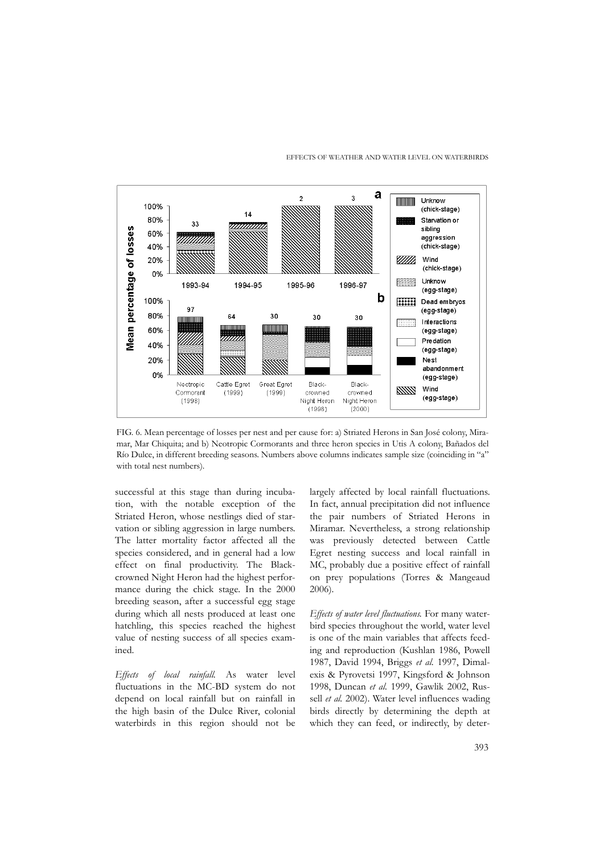



FIG. 6. Mean percentage of losses per nest and per cause for: a) Striated Herons in San José colony, Miramar, Mar Chiquita; and b) Neotropic Cormorants and three heron species in Utis A colony, Bañados del Río Dulce, in different breeding seasons. Numbers above columns indicates sample size (coinciding in "a" with total nest numbers).

successful at this stage than during incubation, with the notable exception of the Striated Heron, whose nestlings died of starvation or sibling aggression in large numbers. The latter mortality factor affected all the species considered, and in general had a low effect on final productivity. The Blackcrowned Night Heron had the highest performance during the chick stage. In the 2000 breeding season, after a successful egg stage during which all nests produced at least one hatchling, this species reached the highest value of nesting success of all species examined.

*Effects of local rainfall.* As water level fluctuations in the MC-BD system do not depend on local rainfall but on rainfall in the high basin of the Dulce River, colonial waterbirds in this region should not be largely affected by local rainfall fluctuations. In fact, annual precipitation did not influence the pair numbers of Striated Herons in Miramar. Nevertheless, a strong relationship was previously detected between Cattle Egret nesting success and local rainfall in MC, probably due a positive effect of rainfall on prey populations (Torres & Mangeaud 2006).

*Effects of water level fluctuations.* For many waterbird species throughout the world, water level is one of the main variables that affects feeding and reproduction (Kushlan 1986, Powell 1987, David 1994, Briggs *et al.* 1997, Dimalexis & Pyrovetsi 1997, Kingsford & Johnson 1998, Duncan *et al.* 1999, Gawlik 2002, Russell *et al.* 2002). Water level influences wading birds directly by determining the depth at which they can feed, or indirectly, by deter-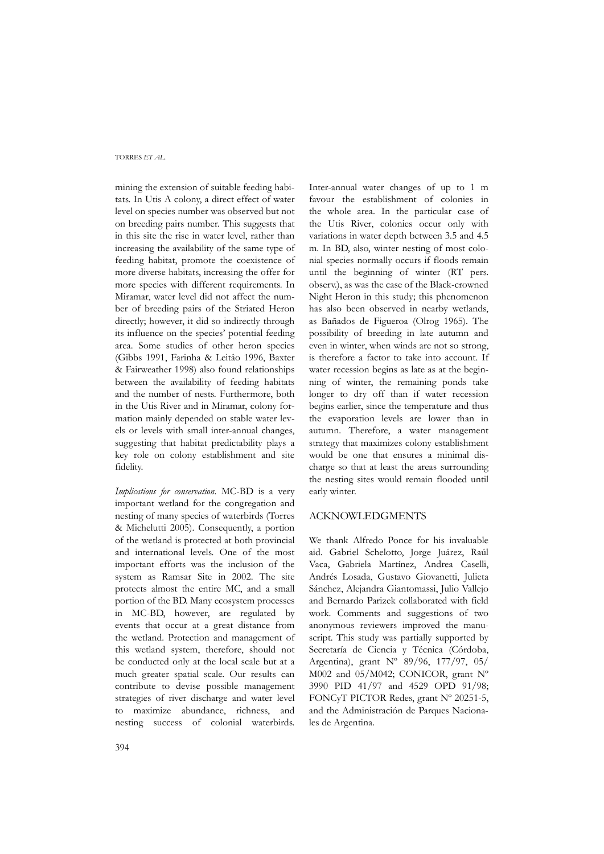mining the extension of suitable feeding habitats. In Utis A colony, a direct effect of water level on species number was observed but not on breeding pairs number. This suggests that in this site the rise in water level, rather than increasing the availability of the same type of feeding habitat, promote the coexistence of more diverse habitats, increasing the offer for more species with different requirements. In Miramar, water level did not affect the number of breeding pairs of the Striated Heron directly; however, it did so indirectly through its influence on the species' potential feeding area. Some studies of other heron species (Gibbs 1991, Farinha & Leitâo 1996, Baxter & Fairweather 1998) also found relationships between the availability of feeding habitats and the number of nests. Furthermore, both in the Utis River and in Miramar, colony formation mainly depended on stable water levels or levels with small inter-annual changes, suggesting that habitat predictability plays a key role on colony establishment and site fidelity.

*Implications for conservation.* MC-BD is a very important wetland for the congregation and nesting of many species of waterbirds (Torres & Michelutti 2005). Consequently, a portion of the wetland is protected at both provincial and international levels. One of the most important efforts was the inclusion of the system as Ramsar Site in 2002. The site protects almost the entire MC, and a small portion of the BD. Many ecosystem processes in MC-BD, however, are regulated by events that occur at a great distance from the wetland. Protection and management of this wetland system, therefore, should not be conducted only at the local scale but at a much greater spatial scale. Our results can contribute to devise possible management strategies of river discharge and water level to maximize abundance, richness, and nesting success of colonial waterbirds.

Inter-annual water changes of up to 1 m favour the establishment of colonies in the whole area. In the particular case of the Utis River, colonies occur only with variations in water depth between 3.5 and 4.5 m. In BD, also, winter nesting of most colonial species normally occurs if floods remain until the beginning of winter (RT pers. observ.), as was the case of the Black-crowned Night Heron in this study; this phenomenon has also been observed in nearby wetlands, as Bañados de Figueroa (Olrog 1965). The possibility of breeding in late autumn and even in winter, when winds are not so strong, is therefore a factor to take into account. If water recession begins as late as at the beginning of winter, the remaining ponds take longer to dry off than if water recession begins earlier, since the temperature and thus the evaporation levels are lower than in autumn. Therefore, a water management strategy that maximizes colony establishment would be one that ensures a minimal discharge so that at least the areas surrounding the nesting sites would remain flooded until early winter.

# ACKNOWLEDGMENTS

We thank Alfredo Ponce for his invaluable aid. Gabriel Schelotto, Jorge Juárez, Raúl Vaca, Gabriela Martínez, Andrea Caselli, Andrés Losada, Gustavo Giovanetti, Julieta Sánchez, Alejandra Giantomassi, Julio Vallejo and Bernardo Parizek collaborated with field work. Comments and suggestions of two anonymous reviewers improved the manuscript. This study was partially supported by Secretaría de Ciencia y Técnica (Córdoba, Argentina), grant Nº 89/96, 177/97, 05/ M002 and 05/M042; CONICOR, grant Nº 3990 PID 41/97 and 4529 OPD 91/98; FONCyT PICTOR Redes, grant Nº 20251-5, and the Administración de Parques Nacionales de Argentina.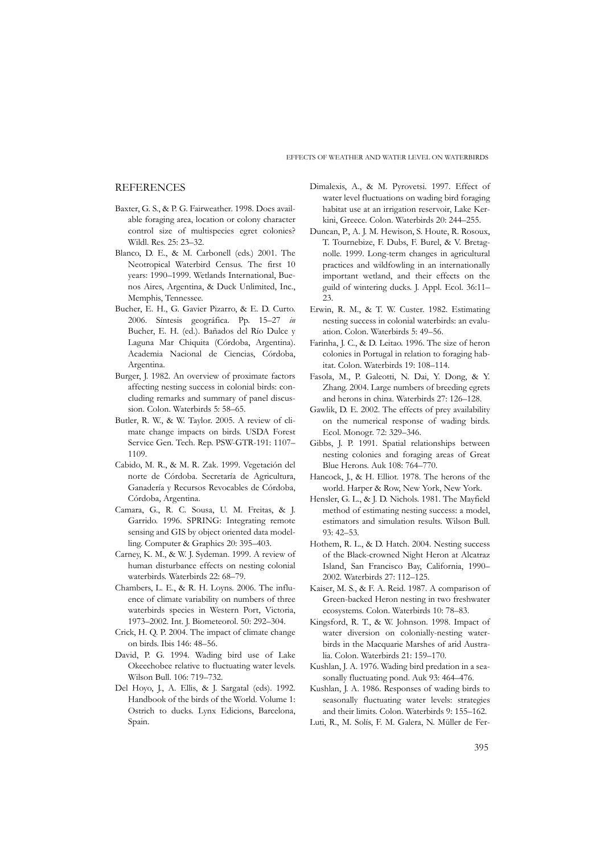## **REFERENCES**

- Baxter, G. S., & P. G. Fairweather. 1998. Does available foraging area, location or colony character control size of multispecies egret colonies? Wildl. Res. 25: 23–32.
- Blanco, D. E., & M. Carbonell (eds.) 2001. The Neotropical Waterbird Census. The first 10 years: 1990–1999. Wetlands International, Buenos Aires, Argentina, & Duck Unlimited, Inc., Memphis, Tennessee.
- Bucher, E. H., G. Gavier Pizarro, & E. D. Curto. 2006. Síntesis geográfica. Pp. 15–27 *in* Bucher, E. H. (ed.). Bañados del Río Dulce y Laguna Mar Chiquita (Córdoba, Argentina). Academia Nacional de Ciencias, Córdoba, Argentina.
- Burger, J. 1982. An overview of proximate factors affecting nesting success in colonial birds: concluding remarks and summary of panel discussion. Colon. Waterbirds 5: 58–65.
- Butler, R. W., & W. Taylor. 2005. A review of climate change impacts on birds. USDA Forest Service Gen. Tech. Rep. PSW-GTR-191: 1107– 1109.
- Cabido, M. R., & M. R. Zak. 1999. Vegetación del norte de Córdoba. Secretaría de Agricultura, Ganadería y Recursos Revocables de Córdoba, Córdoba, Argentina.
- Camara, G., R. C. Sousa, U. M. Freitas, & J. Garrido. 1996. SPRING: Integrating remote sensing and GIS by object oriented data modelling. Computer & Graphics 20: 395–403.
- Carney, K. M., & W. J. Sydeman. 1999. A review of human disturbance effects on nesting colonial waterbirds. Waterbirds 22: 68–79.
- Chambers, L. E., & R. H. Loyns. 2006. The influence of climate variability on numbers of three waterbirds species in Western Port, Victoria, 1973–2002. Int. J. Biometeorol. 50: 292–304.
- Crick, H. Q. P. 2004. The impact of climate change on birds. Ibis 146: 48–56.
- David, P. G. 1994. Wading bird use of Lake Okeechobee relative to fluctuating water levels. Wilson Bull. 106: 719–732.
- Del Hoyo, J., A. Ellis, & J. Sargatal (eds). 1992. Handbook of the birds of the World. Volume 1: Ostrich to ducks. Lynx Edicions, Barcelona, Spain.
- Dimalexis, A., & M. Pyrovetsi. 1997. Effect of water level fluctuations on wading bird foraging habitat use at an irrigation reservoir, Lake Kerkini, Greece. Colon. Waterbirds 20: 244–255.
- Duncan, P., A. J. M. Hewison, S. Houte, R. Rosoux, T. Tournebize, F. Dubs, F. Burel, & V. Bretagnolle. 1999. Long-term changes in agricultural practices and wildfowling in an internationally important wetland, and their effects on the guild of wintering ducks. J. Appl. Ecol. 36:11– 23.
- Erwin, R. M., & T. W. Custer. 1982. Estimating nesting success in colonial waterbirds: an evaluation. Colon. Waterbirds 5: 49–56.
- Farinha, J. C., & D. Leitao. 1996. The size of heron colonies in Portugal in relation to foraging habitat. Colon. Waterbirds 19: 108–114.
- Fasola, M., P. Galeotti, N. Dai, Y. Dong, & Y. Zhang. 2004. Large numbers of breeding egrets and herons in china. Waterbirds 27: 126–128.
- Gawlik, D. E. 2002. The effects of prey availability on the numerical response of wading birds. Ecol. Monogr. 72: 329–346.
- Gibbs, J. P. 1991. Spatial relationships between nesting colonies and foraging areas of Great Blue Herons. Auk 108: 764–770.
- Hancock, J., & H. Elliot. 1978. The herons of the world. Harper & Row, New York, New York.
- Hensler, G. L., & J. D. Nichols. 1981. The Mayfield method of estimating nesting success: a model, estimators and simulation results. Wilson Bull.  $93.42 - 53$
- Hothem, R. L., & D. Hatch. 2004. Nesting success of the Black-crowned Night Heron at Alcatraz Island, San Francisco Bay, California, 1990– 2002. Waterbirds 27: 112–125.
- Kaiser, M. S., & F. A. Reid. 1987. A comparison of Green-backed Heron nesting in two freshwater ecosystems. Colon. Waterbirds 10: 78–83.
- Kingsford, R. T., & W. Johnson. 1998. Impact of water diversion on colonially-nesting waterbirds in the Macquarie Marshes of arid Australia. Colon. Waterbirds 21: 159–170.
- Kushlan, J. A. 1976. Wading bird predation in a seasonally fluctuating pond. Auk 93: 464–476.
- Kushlan, J. A. 1986. Responses of wading birds to seasonally fluctuating water levels: strategies and their limits. Colon. Waterbirds 9: 155–162.
- Luti, R., M. Solís, F. M. Galera, N. Müller de Fer-